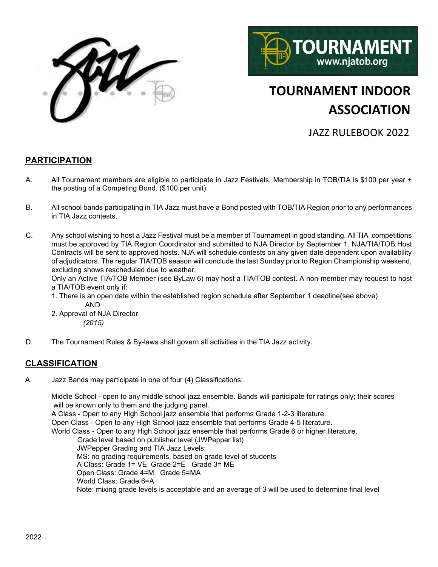



# **TOURNAMENT INDOOR ASSOCIATION**

JAZZ RULEBOOK 2022

#### **PARTICIPATION**

- A. All Tournament members are eligible to participate in Jazz Festivals. Membership in TOB/TIA is \$100 per year + the posting of a Competing Bond. (\$100 per unit).
- B. All school bands participating in TIA Jazz must have a Bond posted with TOB/TIA Region prior to any performances in TIA Jazz contests.
- C. Any school wishing to host a Jazz Festival must be a member of Tournament in good standing. All TIA competitions must be approved by TIA Region Coordinator and submitted to NJA Director by September 1. NJA/TIA/TOB Host Contracts will be sent to approved hosts. NJA will schedule contests on any given date dependent upon availability of adjudicators. The regular TIA/TOB season will conclude the last Sunday prior to Region Championship weekend, excluding shows rescheduled due to weather.

Only an Active TIA/TOB Member (see ByLaw 6) may host a TIA/TOB contest. A non-member may request to host a TIA/TOB event only if:

1. There is an open date within the established region schedule after September 1 deadline(see above) AND

2. Approval of NJA Director  *(2015)*

D. The Tournament Rules & By-laws shall govern all activities in the TIA Jazz activity.

#### **CLASSIFICATION**

A. Jazz Bands may participate in one of four (4) Classifications:

Middle School - open to any middle school jazz ensemble. Bands will participate for ratings only; their scores will be known only to them and the judging panel.

A Class - Open to any High School jazz ensemble that performs Grade 1-2-3 literature.

Open Class - Open to any High School jazz ensemble that performs Grade 4-5 literature.

World Class - Open to any High School jazz ensemble that performs Grade 6 or higher literature.

Grade level based on publisher level (JWPepper list) JWPepper Grading and TIA Jazz Levels: MS: no grading requirements, based on grade level of students A Class: Grade 1= VE Grade 2=E Grade 3= ME Open Class: Grade 4=M Grade 5=MA World Class: Grade 6=A Note: mixing grade levels is acceptable and an average of 3 will be used to determine final level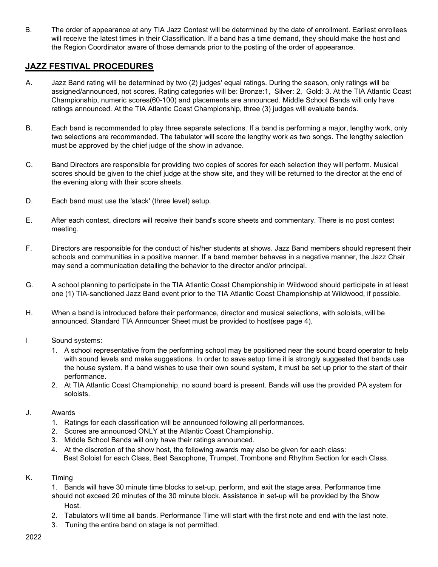B. The order of appearance at any TIA Jazz Contest will be determined by the date of enrollment. Earliest enrollees will receive the latest times in their Classification. If a band has a time demand, they should make the host and the Region Coordinator aware of those demands prior to the posting of the order of appearance.

#### **JAZZ FESTIVAL PROCEDURES**

- A. Jazz Band rating will be determined by two (2) judges' equal ratings. During the season, only ratings will be assigned/announced, not scores. Rating categories will be: Bronze:1, Silver: 2, Gold: 3. At the TIA Atlantic Coast Championship, numeric scores(60-100) and placements are announced. Middle School Bands will only have ratings announced. At the TIA Atlantic Coast Championship, three (3) judges will evaluate bands.
- B. Each band is recommended to play three separate selections. If a band is performing a major, lengthy work, only two selections are recommended. The tabulator will score the lengthy work as two songs. The lengthy selection must be approved by the chief judge of the show in advance.
- C. Band Directors are responsible for providing two copies of scores for each selection they will perform. Musical scores should be given to the chief judge at the show site, and they will be returned to the director at the end of the evening along with their score sheets.
- D. Each band must use the 'stack' (three level) setup.
- E. After each contest, directors will receive their band's score sheets and commentary. There is no post contest meeting.
- F. Directors are responsible for the conduct of his/her students at shows. Jazz Band members should represent their schools and communities in a positive manner. If a band member behaves in a negative manner, the Jazz Chair may send a communication detailing the behavior to the director and/or principal.
- G. A school planning to participate in the TIA Atlantic Coast Championship in Wildwood should participate in at least one (1) TIA-sanctioned Jazz Band event prior to the TIA Atlantic Coast Championship at Wildwood, if possible.
- H. When a band is introduced before their performance, director and musical selections, with soloists, will be announced. Standard TIA Announcer Sheet must be provided to host(see page 4).
- I Sound systems:
	- 1. A school representative from the performing school may be positioned near the sound board operator to help with sound levels and make suggestions. In order to save setup time it is strongly suggested that bands use the house system. If a band wishes to use their own sound system, it must be set up prior to the start of their performance.
	- 2. At TIA Atlantic Coast Championship, no sound board is present. Bands will use the provided PA system for soloists.

#### J. Awards

- 1. Ratings for each classification will be announced following all performances.
- 2. Scores are announced ONLY at the Atlantic Coast Championship.
- 3. Middle School Bands will only have their ratings announced.
- 4. At the discretion of the show host, the following awards may also be given for each class: Best Soloist for each Class, Best Saxophone, Trumpet, Trombone and Rhythm Section for each Class.
- K. Timing

1. Bands will have 30 minute time blocks to set-up, perform, and exit the stage area. Performance time should not exceed 20 minutes of the 30 minute block. Assistance in set-up will be provided by the Show Host.

- 2. Tabulators will time all bands. Performance Time will start with the first note and end with the last note.
- 3. Tuning the entire band on stage is not permitted.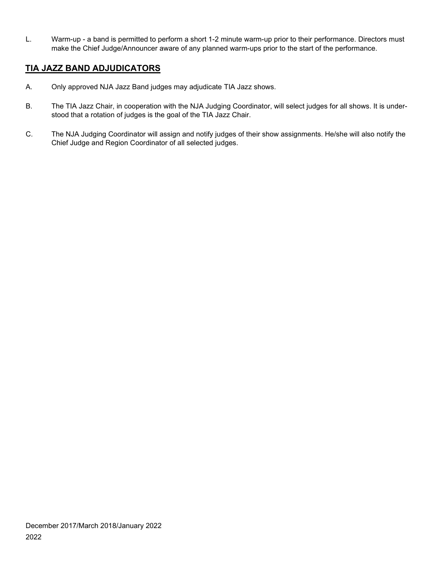L. Warm-up - a band is permitted to perform a short 1-2 minute warm-up prior to their performance. Directors must make the Chief Judge/Announcer aware of any planned warm-ups prior to the start of the performance.

### **TIA JAZZ BAND ADJUDICATORS**

- A. Only approved NJA Jazz Band judges may adjudicate TIA Jazz shows.
- B. The TIA Jazz Chair, in cooperation with the NJA Judging Coordinator, will select judges for all shows. It is understood that a rotation of judges is the goal of the TIA Jazz Chair.
- C. The NJA Judging Coordinator will assign and notify judges of their show assignments. He/she will also notify the Chief Judge and Region Coordinator of all selected judges.